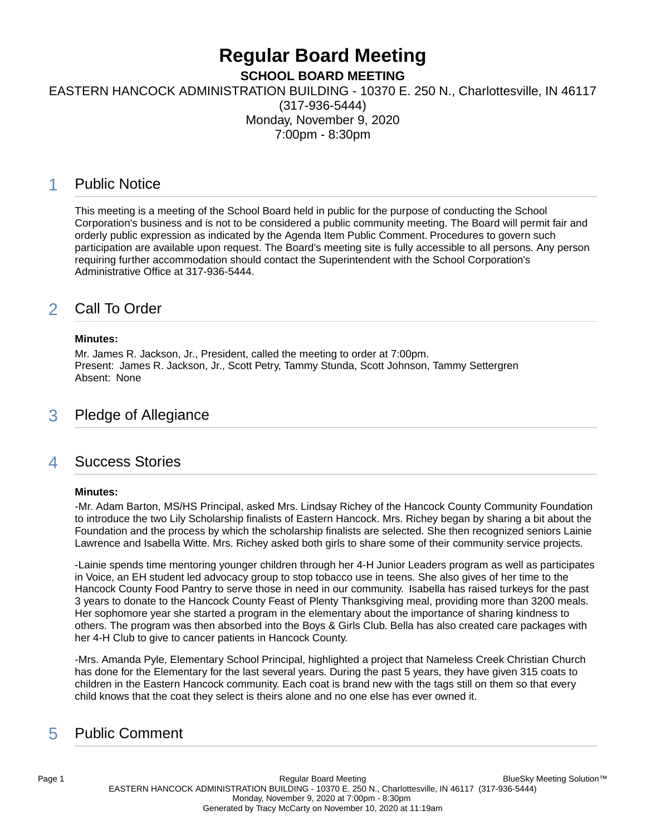# **Regular Board Meeting**

**SCHOOL BOARD MEETING**

EASTERN HANCOCK ADMINISTRATION BUILDING - 10370 E. 250 N., Charlottesville, IN 46117

(317-936-5444) Monday, November 9, 2020 7:00pm - 8:30pm

# 1 Public Notice

This meeting is a meeting of the School Board held in public for the purpose of conducting the School Corporation's business and is not to be considered a public community meeting. The Board will permit fair and orderly public expression as indicated by the Agenda Item Public Comment. Procedures to govern such participation are available upon request. The Board's meeting site is fully accessible to all persons. Any person requiring further accommodation should contact the Superintendent with the School Corporation's Administrative Office at 317-936-5444.

# 2 Call To Order

#### **Minutes:**

Mr. James R. Jackson, Jr., President, called the meeting to order at 7:00pm. Present: James R. Jackson, Jr., Scott Petry, Tammy Stunda, Scott Johnson, Tammy Settergren Absent: None

### 3 Pledge of Allegiance

### 4 Success Stories

#### **Minutes:**

-Mr. Adam Barton, MS/HS Principal, asked Mrs. Lindsay Richey of the Hancock County Community Foundation to introduce the two Lily Scholarship finalists of Eastern Hancock. Mrs. Richey began by sharing a bit about the Foundation and the process by which the scholarship finalists are selected. She then recognized seniors Lainie Lawrence and Isabella Witte. Mrs. Richey asked both girls to share some of their community service projects.

-Lainie spends time mentoring younger children through her 4-H Junior Leaders program as well as participates in Voice, an EH student led advocacy group to stop tobacco use in teens. She also gives of her time to the Hancock County Food Pantry to serve those in need in our community. Isabella has raised turkeys for the past 3 years to donate to the Hancock County Feast of Plenty Thanksgiving meal, providing more than 3200 meals. Her sophomore year she started a program in the elementary about the importance of sharing kindness to others. The program was then absorbed into the Boys & Girls Club. Bella has also created care packages with her 4-H Club to give to cancer patients in Hancock County.

-Mrs. Amanda Pyle, Elementary School Principal, highlighted a project that Nameless Creek Christian Church has done for the Elementary for the last several years. During the past 5 years, they have given 315 coats to children in the Eastern Hancock community. Each coat is brand new with the tags still on them so that every child knows that the coat they select is theirs alone and no one else has ever owned it.

# 5 Public Comment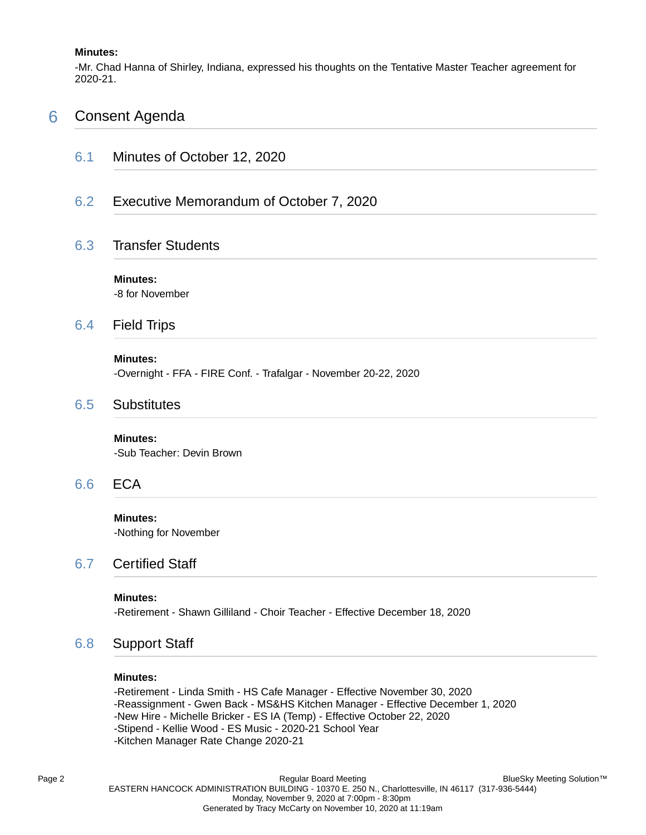#### **Minutes:**

-Mr. Chad Hanna of Shirley, Indiana, expressed his thoughts on the Tentative Master Teacher agreement for 2020-21.

### 6 Consent Agenda

6.1 Minutes of October 12, 2020

### 6.2 Executive Memorandum of October 7, 2020

### 6.3 Transfer Students

**Minutes:** -8 for November

### 6.4 Field Trips

#### **Minutes:**

-Overnight - FFA - FIRE Conf. - Trafalgar - November 20-22, 2020

### 6.5 Substitutes

#### **Minutes:**

-Sub Teacher: Devin Brown

### 6.6 ECA

**Minutes:** -Nothing for November

### 6.7 Certified Staff

#### **Minutes:**

-Retirement - Shawn Gilliland - Choir Teacher - Effective December 18, 2020

### 6.8 Support Staff

#### **Minutes:**

-Retirement - Linda Smith - HS Cafe Manager - Effective November 30, 2020 -Reassignment - Gwen Back - MS&HS Kitchen Manager - Effective December 1, 2020 -New Hire - Michelle Bricker - ES IA (Temp) - Effective October 22, 2020 -Stipend - Kellie Wood - ES Music - 2020-21 School Year -Kitchen Manager Rate Change 2020-21

Page 2 **Page 2** Regular Board Meeting EASTERN HANCOCK ADMINISTRATION BUILDING - 10370 E. 250 N., Charlottesville, IN 46117 (317-936-5444) Monday, November 9, 2020 at 7:00pm - 8:30pm Generated by Tracy McCarty on November 10, 2020 at 11:19am BlueSky Meeting Solution™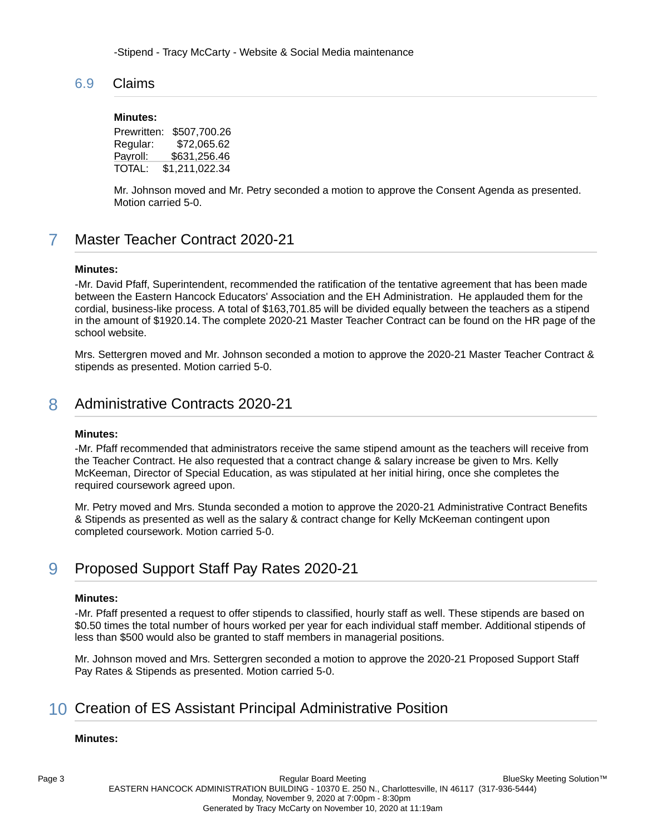-Stipend - Tracy McCarty - Website & Social Media maintenance

### 6.9 Claims

#### **Minutes:**

Prewritten: \$507,700.26 Regular: \$72,065.62 Payroll: \$631,256.46 TOTAL: \$1,211,022.34

Mr. Johnson moved and Mr. Petry seconded a motion to approve the Consent Agenda as presented. Motion carried 5-0.

# 7 Master Teacher Contract 2020-21

#### **Minutes:**

-Mr. David Pfaff, Superintendent, recommended the ratification of the tentative agreement that has been made between the Eastern Hancock Educators' Association and the EH Administration. He applauded them for the cordial, business-like process. A total of \$163,701.85 will be divided equally between the teachers as a stipend in the amount of \$1920.14. The complete 2020-21 Master Teacher Contract can be found on the HR page of the school website.

Mrs. Settergren moved and Mr. Johnson seconded a motion to approve the 2020-21 Master Teacher Contract & stipends as presented. Motion carried 5-0.

## 8 Administrative Contracts 2020-21

#### **Minutes:**

-Mr. Pfaff recommended that administrators receive the same stipend amount as the teachers will receive from the Teacher Contract. He also requested that a contract change & salary increase be given to Mrs. Kelly McKeeman, Director of Special Education, as was stipulated at her initial hiring, once she completes the required coursework agreed upon.

Mr. Petry moved and Mrs. Stunda seconded a motion to approve the 2020-21 Administrative Contract Benefits & Stipends as presented as well as the salary & contract change for Kelly McKeeman contingent upon completed coursework. Motion carried 5-0.

# 9 Proposed Support Staff Pay Rates 2020-21

#### **Minutes:**

-Mr. Pfaff presented a request to offer stipends to classified, hourly staff as well. These stipends are based on \$0.50 times the total number of hours worked per year for each individual staff member. Additional stipends of less than \$500 would also be granted to staff members in managerial positions.

Mr. Johnson moved and Mrs. Settergren seconded a motion to approve the 2020-21 Proposed Support Staff Pay Rates & Stipends as presented. Motion carried 5-0.

# 10 Creation of ES Assistant Principal Administrative Position

#### **Minutes:**